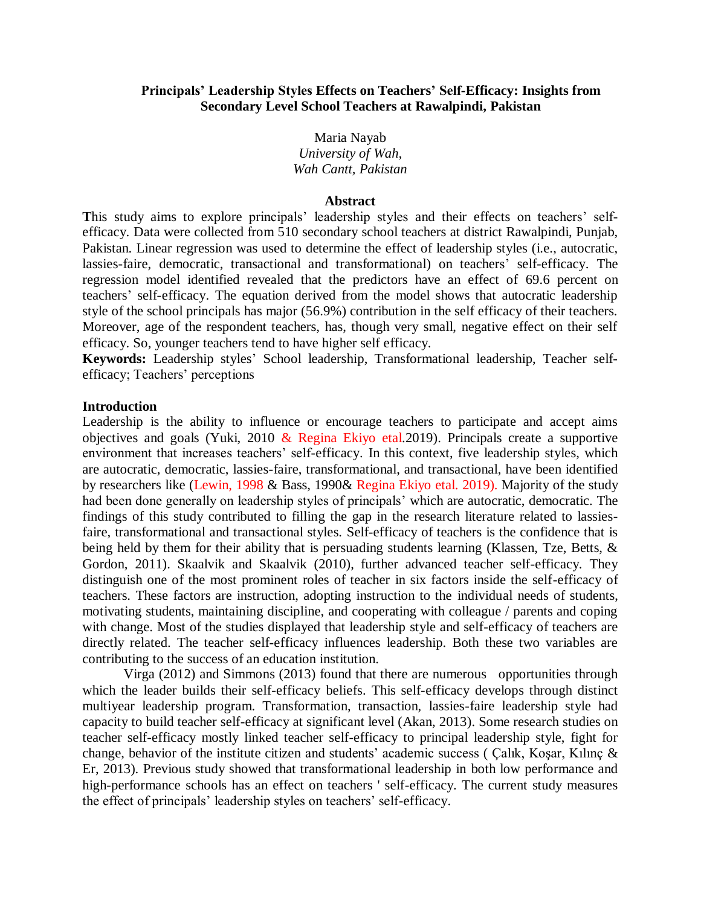### **Principals' Leadership Styles Effects on Teachers' Self-Efficacy: Insights from Secondary Level School Teachers at Rawalpindi, Pakistan**

Maria Nayab *University of Wah, Wah Cantt, Pakistan*

#### **Abstract**

This study aims to explore principals' leadership styles and their effects on teachers' selfefficacy. Data were collected from 510 secondary school teachers at district Rawalpindi, Punjab, Pakistan. Linear regression was used to determine the effect of leadership styles (i.e., autocratic, lassies-faire, democratic, transactional and transformational) on teachers' self-efficacy. The regression model identified revealed that the predictors have an effect of 69.6 percent on teachers' self-efficacy. The equation derived from the model shows that autocratic leadership style of the school principals has major (56.9%) contribution in the self efficacy of their teachers. Moreover, age of the respondent teachers, has, though very small, negative effect on their self efficacy. So, younger teachers tend to have higher self efficacy.

**Keywords:** Leadership styles' School leadership, Transformational leadership, Teacher selfefficacy; Teachers' perceptions

#### **Introduction**

Leadership is the ability to influence or encourage teachers to participate and accept aims objectives and goals (Yuki, 2010 & Regina Ekiyo etal.2019). Principals create a supportive environment that increases teachers' self-efficacy. In this context, five leadership styles, which are autocratic, democratic, lassies-faire, transformational, and transactional, have been identified by researchers like (Lewin, 1998 & Bass, 1990& Regina Ekiyo etal. 2019). Majority of the study had been done generally on leadership styles of principals' which are autocratic, democratic. The findings of this study contributed to filling the gap in the research literature related to lassiesfaire, transformational and transactional styles. Self-efficacy of teachers is the confidence that is being held by them for their ability that is persuading students learning (Klassen, Tze, Betts, & Gordon, 2011). Skaalvik and Skaalvik (2010), further advanced teacher self-efficacy. They distinguish one of the most prominent roles of teacher in six factors inside the self-efficacy of teachers. These factors are instruction, adopting instruction to the individual needs of students, motivating students, maintaining discipline, and cooperating with colleague / parents and coping with change. Most of the studies displayed that leadership style and self-efficacy of teachers are directly related. The teacher self-efficacy influences leadership. Both these two variables are contributing to the success of an education institution.

Virga (2012) and Simmons (2013) found that there are numerous opportunities through which the leader builds their self-efficacy beliefs. This self-efficacy develops through distinct multiyear leadership program. Transformation, transaction, lassies-faire leadership style had capacity to build teacher self-efficacy at significant level (Akan, 2013). Some research studies on teacher self-efficacy mostly linked teacher self-efficacy to principal leadership style, fight for change, behavior of the institute citizen and students' academic success ( Çalık, Koşar, Kılınç & Er, 2013). Previous study showed that transformational leadership in both low performance and high-performance schools has an effect on teachers ' self-efficacy. The current study measures the effect of principals' leadership styles on teachers' self-efficacy.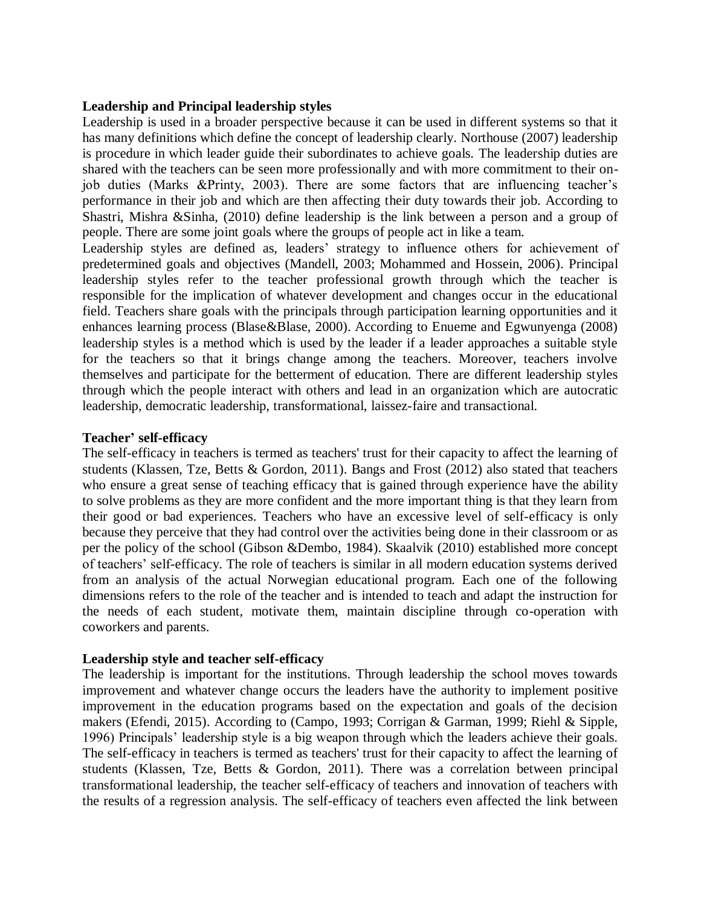## **Leadership and Principal leadership styles**

Leadership is used in a broader perspective because it can be used in different systems so that it has many definitions which define the concept of leadership clearly. Northouse (2007) leadership is procedure in which leader guide their subordinates to achieve goals. The leadership duties are shared with the teachers can be seen more professionally and with more commitment to their onjob duties (Marks &Printy, 2003). There are some factors that are influencing teacher's performance in their job and which are then affecting their duty towards their job. According to Shastri, Mishra &Sinha, (2010) define leadership is the link between a person and a group of people. There are some joint goals where the groups of people act in like a team.

Leadership styles are defined as, leaders' strategy to influence others for achievement of predetermined goals and objectives (Mandell, 2003; Mohammed and Hossein, 2006). Principal leadership styles refer to the teacher professional growth through which the teacher is responsible for the implication of whatever development and changes occur in the educational field. Teachers share goals with the principals through participation learning opportunities and it enhances learning process (Blase&Blase, 2000). According to Enueme and Egwunyenga (2008) leadership styles is a method which is used by the leader if a leader approaches a suitable style for the teachers so that it brings change among the teachers. Moreover, teachers involve themselves and participate for the betterment of education. There are different leadership styles through which the people interact with others and lead in an organization which are autocratic leadership, democratic leadership, transformational, laissez-faire and transactional.

## **Teacher' self-efficacy**

The self-efficacy in teachers is termed as teachers' trust for their capacity to affect the learning of students (Klassen, Tze, Betts & Gordon, 2011). Bangs and Frost (2012) also stated that teachers who ensure a great sense of teaching efficacy that is gained through experience have the ability to solve problems as they are more confident and the more important thing is that they learn from their good or bad experiences. Teachers who have an excessive level of self-efficacy is only because they perceive that they had control over the activities being done in their classroom or as per the policy of the school (Gibson &Dembo, 1984). Skaalvik (2010) established more concept of teachers' self-efficacy. The role of teachers is similar in all modern education systems derived from an analysis of the actual Norwegian educational program. Each one of the following dimensions refers to the role of the teacher and is intended to teach and adapt the instruction for the needs of each student, motivate them, maintain discipline through co-operation with coworkers and parents.

## **Leadership style and teacher self-efficacy**

The leadership is important for the institutions. Through leadership the school moves towards improvement and whatever change occurs the leaders have the authority to implement positive improvement in the education programs based on the expectation and goals of the decision makers (Efendi, 2015). According to (Campo, 1993; Corrigan & Garman, 1999; Riehl & Sipple, 1996) Principals' leadership style is a big weapon through which the leaders achieve their goals. The self-efficacy in teachers is termed as teachers' trust for their capacity to affect the learning of students (Klassen, Tze, Betts & Gordon, 2011). There was a correlation between principal transformational leadership, the teacher self-efficacy of teachers and innovation of teachers with the results of a regression analysis. The self-efficacy of teachers even affected the link between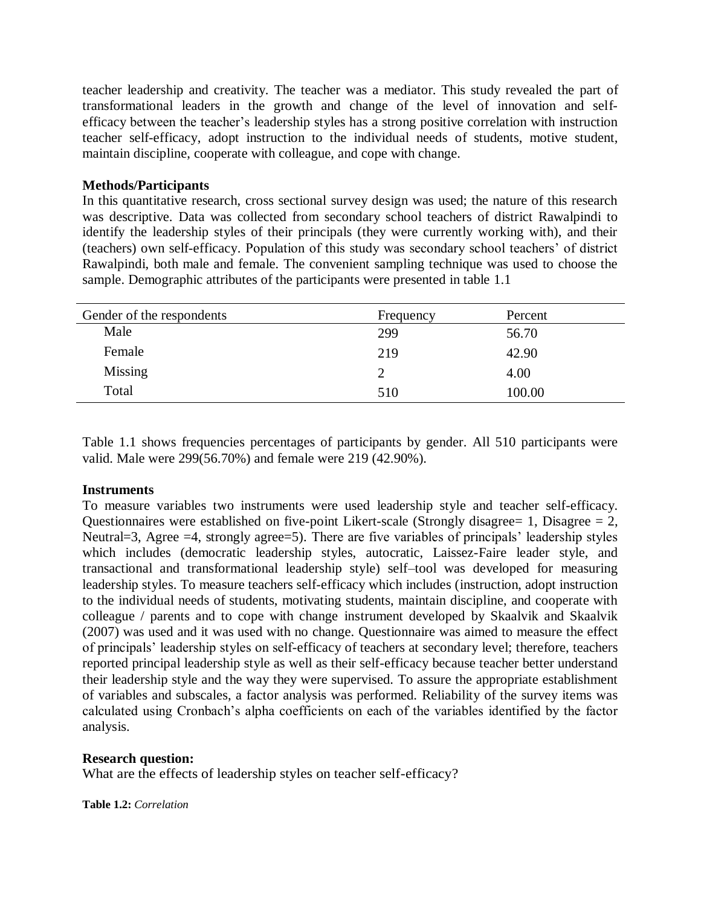teacher leadership and creativity. The teacher was a mediator. This study revealed the part of transformational leaders in the growth and change of the level of innovation and selfefficacy between the teacher's leadership styles has a strong positive correlation with instruction teacher self-efficacy, adopt instruction to the individual needs of students, motive student, maintain discipline, cooperate with colleague, and cope with change.

## **Methods/Participants**

In this quantitative research, cross sectional survey design was used; the nature of this research was descriptive. Data was collected from secondary school teachers of district Rawalpindi to identify the leadership styles of their principals (they were currently working with), and their (teachers) own self-efficacy. Population of this study was secondary school teachers' of district Rawalpindi, both male and female. The convenient sampling technique was used to choose the sample. Demographic attributes of the participants were presented in table 1.1

| Gender of the respondents | Frequency | Percent |
|---------------------------|-----------|---------|
| Male                      | 299       | 56.70   |
| Female                    | 219       | 42.90   |
| <b>Missing</b>            |           | 4.00    |
| Total                     | 510       | 100.00  |

Table 1.1 shows frequencies percentages of participants by gender. All 510 participants were valid. Male were 299(56.70%) and female were 219 (42.90%).

### **Instruments**

To measure variables two instruments were used leadership style and teacher self-efficacy. Questionnaires were established on five-point Likert-scale (Strongly disagree  $= 1$ , Disagree  $= 2$ , Neutral=3, Agree =4, strongly agree=5). There are five variables of principals' leadership styles which includes (democratic leadership styles, autocratic, Laissez-Faire leader style, and transactional and transformational leadership style) self–tool was developed for measuring leadership styles. To measure teachers self-efficacy which includes (instruction, adopt instruction to the individual needs of students, motivating students, maintain discipline, and cooperate with colleague / parents and to cope with change instrument developed by Skaalvik and Skaalvik (2007) was used and it was used with no change. Questionnaire was aimed to measure the effect of principals' leadership styles on self-efficacy of teachers at secondary level; therefore, teachers reported principal leadership style as well as their self-efficacy because teacher better understand their leadership style and the way they were supervised. To assure the appropriate establishment of variables and subscales, a factor analysis was performed. Reliability of the survey items was calculated using Cronbach's alpha coefficients on each of the variables identified by the factor analysis.

### **Research question:**

What are the effects of leadership styles on teacher self-efficacy?

**Table 1.2:** *Correlation*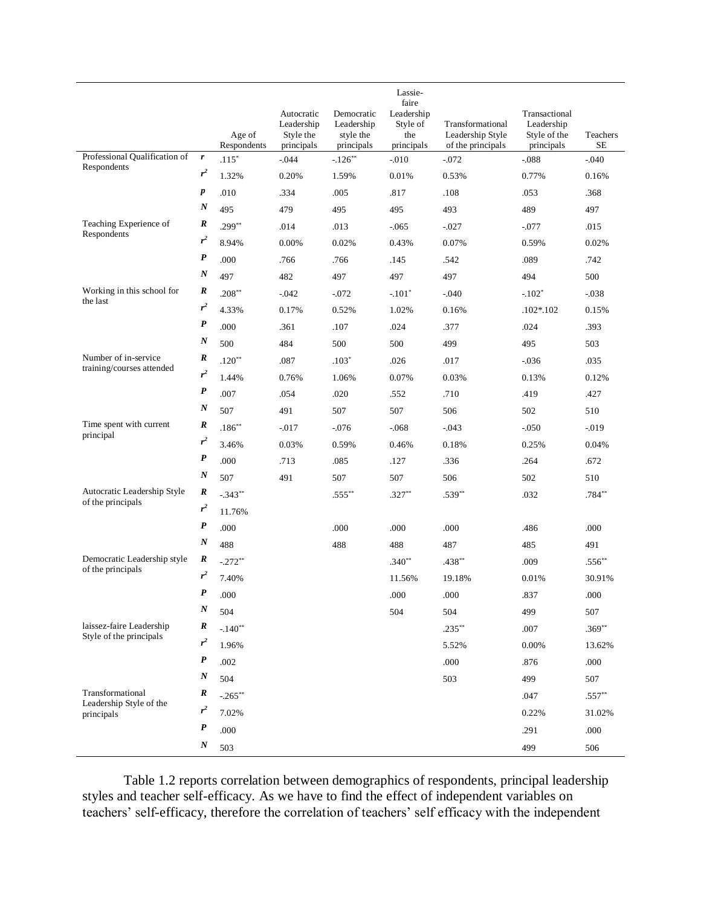|                                                     |                  | Age of<br>Respondents | Autocratic<br>Leadership<br>Style the<br>principals | Democratic<br>Leadership<br>style the<br>principals | Lassie-<br>faire<br>Leadership<br>Style of<br>the<br>principals | Transformational<br>Leadership Style<br>of the principals | Transactional<br>Leadership<br>Style of the<br>principals | Teachers<br><b>SE</b> |
|-----------------------------------------------------|------------------|-----------------------|-----------------------------------------------------|-----------------------------------------------------|-----------------------------------------------------------------|-----------------------------------------------------------|-----------------------------------------------------------|-----------------------|
| Professional Qualification of                       | $\boldsymbol{r}$ | $.115*$               | $-0.044$                                            | $-126**$                                            | $-0.010$                                                        | $-0.072$                                                  | $-0.088$                                                  | $-0.040$              |
| Respondents                                         | $r^2$            | 1.32%                 | 0.20%                                               | 1.59%                                               | 0.01%                                                           | 0.53%                                                     | 0.77%                                                     | 0.16%                 |
|                                                     | $\boldsymbol{p}$ | .010                  | .334                                                | .005                                                | .817                                                            | .108                                                      | .053                                                      | .368                  |
|                                                     | $\boldsymbol{N}$ | 495                   | 479                                                 | 495                                                 | 495                                                             | 493                                                       | 489                                                       | 497                   |
| Teaching Experience of                              | R                | $.299**$              | .014                                                | .013                                                | $-0.065$                                                        | $-0.027$                                                  | $-0.077$                                                  | .015                  |
| Respondents                                         | $r^2$            | 8.94%                 | 0.00%                                               | 0.02%                                               | 0.43%                                                           | 0.07%                                                     | 0.59%                                                     | 0.02%                 |
|                                                     | P                | .000                  | .766                                                | .766                                                | .145                                                            | .542                                                      | .089                                                      | .742                  |
|                                                     | $\boldsymbol{N}$ | 497                   | 482                                                 | 497                                                 | 497                                                             | 497                                                       | 494                                                       | 500                   |
| Working in this school for                          | R                | $.208**$              | $-.042$                                             | $-0.072$                                            | $-.101*$                                                        | $-.040$                                                   | $-.102*$                                                  | $-0.038$              |
| the last                                            | $r^2$            | 4.33%                 | 0.17%                                               | 0.52%                                               | 1.02%                                                           | 0.16%                                                     | $.102*.102$                                               | 0.15%                 |
|                                                     | $\boldsymbol{P}$ | .000                  | .361                                                | .107                                                | .024                                                            | .377                                                      | .024                                                      | .393                  |
|                                                     | $\boldsymbol{N}$ | 500                   | 484                                                 | 500                                                 | 500                                                             | 499                                                       | 495                                                       | 503                   |
| Number of in-service                                | R                | $.120**$              | .087                                                | $.103*$                                             | .026                                                            | .017                                                      | $-0.036$                                                  | .035                  |
| training/courses attended                           | $r^2$            | 1.44%                 | 0.76%                                               | 1.06%                                               | 0.07%                                                           | 0.03%                                                     | 0.13%                                                     | 0.12%                 |
|                                                     | $\boldsymbol{P}$ | .007                  | .054                                                | .020                                                | .552                                                            | .710                                                      | .419                                                      | .427                  |
|                                                     | $_{\it N}$       | 507                   | 491                                                 | 507                                                 | 507                                                             | 506                                                       | 502                                                       | 510                   |
| Time spent with current                             | R                | $.186**$              | $-017$                                              | $-0.076$                                            | $-0.068$                                                        | $-0.043$                                                  | $-.050$                                                   | $-0.019$              |
| principal                                           | $r^2$            | 3.46%                 | 0.03%                                               | 0.59%                                               | 0.46%                                                           | 0.18%                                                     | 0.25%                                                     | 0.04%                 |
|                                                     | $\boldsymbol{P}$ | .000                  | .713                                                | .085                                                | .127                                                            | .336                                                      | .264                                                      | .672                  |
|                                                     | $\boldsymbol{N}$ | 507                   | 491                                                 | 507                                                 | 507                                                             | 506                                                       | 502                                                       | 510                   |
| Autocratic Leadership Style                         | R                | $-.343**$             |                                                     | $.555***$                                           | $.327**$                                                        | $.539**$                                                  | .032                                                      | .784**                |
| of the principals                                   | $r^2$            | 11.76%                |                                                     |                                                     |                                                                 |                                                           |                                                           |                       |
|                                                     | $\boldsymbol{P}$ | .000                  |                                                     | .000                                                | .000                                                            | .000                                                      | .486                                                      | .000                  |
|                                                     | N                | 488                   |                                                     | 488                                                 | 488                                                             | 487                                                       | 485                                                       | 491                   |
| Democratic Leadership style<br>of the principals    | R                | $-.272**$             |                                                     |                                                     | $.340**$                                                        | $.438**$                                                  | .009                                                      | $.556**$              |
|                                                     | $r^2$            | 7.40%                 |                                                     |                                                     | 11.56%                                                          | 19.18%                                                    | 0.01%                                                     | 30.91%                |
|                                                     | P                | .000                  |                                                     |                                                     | .000                                                            | .000                                                      | .837                                                      | .000                  |
|                                                     | $\boldsymbol{N}$ | 504                   |                                                     |                                                     | 504                                                             | 504                                                       | 499                                                       | 507                   |
| laissez-faire Leadership<br>Style of the principals | R                | $-.140**$             |                                                     |                                                     |                                                                 | $.235***$                                                 | .007                                                      | $.369**$              |
|                                                     | $r^2$            | 1.96%                 |                                                     |                                                     |                                                                 | 5.52%                                                     | 0.00%                                                     | 13.62%                |
|                                                     | $\boldsymbol{P}$ | .002                  |                                                     |                                                     |                                                                 | .000                                                      | .876                                                      | .000                  |
|                                                     | $\boldsymbol{N}$ | 504                   |                                                     |                                                     |                                                                 | 503                                                       | 499                                                       | 507                   |
| Transformational<br>Leadership Style of the         | R                | $-265**$              |                                                     |                                                     |                                                                 |                                                           | .047                                                      | $.557**$              |
| principals                                          | $r^2$            | 7.02%                 |                                                     |                                                     |                                                                 |                                                           | 0.22%                                                     | 31.02%                |
|                                                     | $\boldsymbol{P}$ | .000                  |                                                     |                                                     |                                                                 |                                                           | .291                                                      | .000                  |
|                                                     | $\boldsymbol{N}$ | 503                   |                                                     |                                                     |                                                                 |                                                           | 499                                                       | 506                   |

Table 1.2 reports correlation between demographics of respondents, principal leadership styles and teacher self-efficacy. As we have to find the effect of independent variables on teachers' self-efficacy, therefore the correlation of teachers' self efficacy with the independent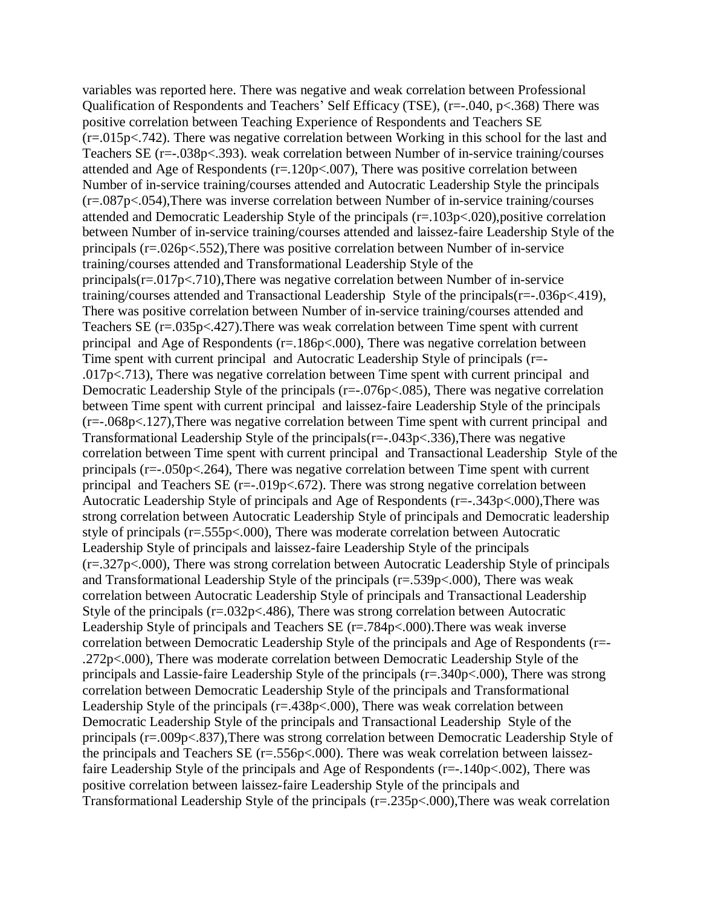variables was reported here. There was negative and weak correlation between Professional Qualification of Respondents and Teachers' Self Efficacy (TSE), (r=-.040, p<.368) There was positive correlation between Teaching Experience of Respondents and Teachers SE (r=.015p<.742). There was negative correlation between Working in this school for the last and Teachers SE (r=-.038p<.393). weak correlation between Number of in-service training/courses attended and Age of Respondents (r=.120p<.007), There was positive correlation between Number of in-service training/courses attended and Autocratic Leadership Style the principals (r=.087p<.054),There was inverse correlation between Number of in-service training/courses attended and Democratic Leadership Style of the principals (r=.103p<.020),positive correlation between Number of in-service training/courses attended and laissez-faire Leadership Style of the principals (r=.026p<.552),There was positive correlation between Number of in-service training/courses attended and Transformational Leadership Style of the principals( $r = 0.017$ p $\lt$ .710),There was negative correlation between Number of in-service training/courses attended and Transactional Leadership Style of the principals(r=-.036p<.419), There was positive correlation between Number of in-service training/courses attended and Teachers SE (r=.035p<.427).There was weak correlation between Time spent with current principal and Age of Respondents (r=.186p<.000), There was negative correlation between Time spent with current principal and Autocratic Leadership Style of principals (r=- .017p<.713), There was negative correlation between Time spent with current principal and Democratic Leadership Style of the principals (r=-.076p<.085), There was negative correlation between Time spent with current principal and laissez-faire Leadership Style of the principals (r=-.068p<.127),There was negative correlation between Time spent with current principal and Transformational Leadership Style of the principals(r=-.043p<.336),There was negative correlation between Time spent with current principal and Transactional Leadership Style of the principals ( $r=-.050p<-.264$ ), There was negative correlation between Time spent with current principal and Teachers SE  $(r=-.019p<.672)$ . There was strong negative correlation between Autocratic Leadership Style of principals and Age of Respondents (r=-.343p<.000),There was strong correlation between Autocratic Leadership Style of principals and Democratic leadership style of principals (r=.555p<.000), There was moderate correlation between Autocratic Leadership Style of principals and laissez-faire Leadership Style of the principals (r=.327p<.000), There was strong correlation between Autocratic Leadership Style of principals and Transformational Leadership Style of the principals (r=.539p<.000), There was weak correlation between Autocratic Leadership Style of principals and Transactional Leadership Style of the principals  $(r=.032p<.486)$ , There was strong correlation between Autocratic Leadership Style of principals and Teachers SE (r=.784p<.000).There was weak inverse correlation between Democratic Leadership Style of the principals and Age of Respondents (r=- .272p<.000), There was moderate correlation between Democratic Leadership Style of the principals and Lassie-faire Leadership Style of the principals (r=.340p<.000), There was strong correlation between Democratic Leadership Style of the principals and Transformational Leadership Style of the principals (r=.438p<.000), There was weak correlation between Democratic Leadership Style of the principals and Transactional Leadership Style of the principals (r=.009p<.837),There was strong correlation between Democratic Leadership Style of the principals and Teachers SE  $(r=.556p<.000)$ . There was weak correlation between laissezfaire Leadership Style of the principals and Age of Respondents ( $r=-140p<.002$ ), There was positive correlation between laissez-faire Leadership Style of the principals and Transformational Leadership Style of the principals (r=.235p<.000),There was weak correlation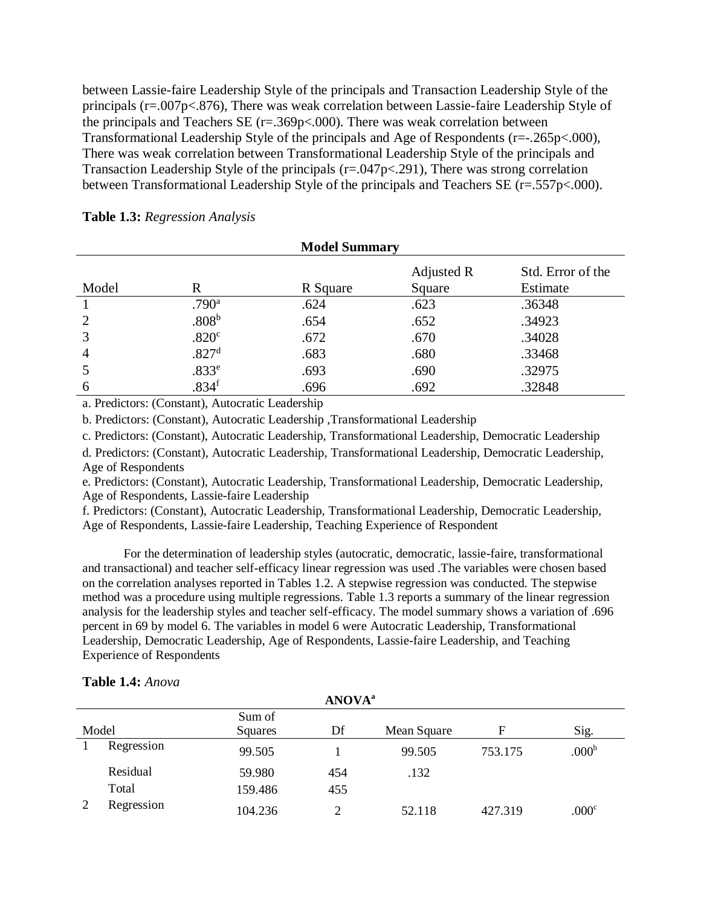between Lassie-faire Leadership Style of the principals and Transaction Leadership Style of the principals (r=.007p<.876), There was weak correlation between Lassie-faire Leadership Style of the principals and Teachers SE  $(r=.369p<.000)$ . There was weak correlation between Transformational Leadership Style of the principals and Age of Respondents (r=-.265p<.000), There was weak correlation between Transformational Leadership Style of the principals and Transaction Leadership Style of the principals (r=.047p<.291), There was strong correlation between Transformational Leadership Style of the principals and Teachers SE (r=.557p<.000).

|                |                   | <b>Model Summary</b> |                      |                               |
|----------------|-------------------|----------------------|----------------------|-------------------------------|
| Model          | R                 | R Square             | Adjusted R<br>Square | Std. Error of the<br>Estimate |
|                | .790 <sup>a</sup> | .624                 | .623                 | .36348                        |
| 2              | .808 <sup>b</sup> | .654                 | .652                 | .34923                        |
| 3              | .820 <sup>c</sup> | .672                 | .670                 | .34028                        |
| $\overline{4}$ | .827 <sup>d</sup> | .683                 | .680                 | .33468                        |
|                | .833 <sup>e</sup> | .693                 | .690                 | .32975                        |
| 6              | .834 <sup>f</sup> | .696                 | .692                 | .32848                        |

|  | Table 1.3: Regression Analysis |  |
|--|--------------------------------|--|
|--|--------------------------------|--|

a. Predictors: (Constant), Autocratic Leadership

b. Predictors: (Constant), Autocratic Leadership ,Transformational Leadership

c. Predictors: (Constant), Autocratic Leadership, Transformational Leadership, Democratic Leadership

d. Predictors: (Constant), Autocratic Leadership, Transformational Leadership, Democratic Leadership, Age of Respondents

e. Predictors: (Constant), Autocratic Leadership, Transformational Leadership, Democratic Leadership, Age of Respondents, Lassie-faire Leadership

f. Predictors: (Constant), Autocratic Leadership, Transformational Leadership, Democratic Leadership, Age of Respondents, Lassie-faire Leadership, Teaching Experience of Respondent

For the determination of leadership styles (autocratic, democratic, lassie-faire, transformational and transactional) and teacher self-efficacy linear regression was used .The variables were chosen based on the correlation analyses reported in Tables 1.2. A stepwise regression was conducted. The stepwise method was a procedure using multiple regressions. Table 1.3 reports a summary of the linear regression analysis for the leadership styles and teacher self-efficacy. The model summary shows a variation of .696 percent in 69 by model 6. The variables in model 6 were Autocratic Leadership, Transformational Leadership, Democratic Leadership, Age of Respondents, Lassie-faire Leadership, and Teaching Experience of Respondents

| Table 1.4: Anova |
|------------------|
|------------------|

|       | <b>ANOVA</b> <sup>a</sup> |         |     |             |         |                   |  |  |  |
|-------|---------------------------|---------|-----|-------------|---------|-------------------|--|--|--|
|       | Sum of                    |         |     |             |         |                   |  |  |  |
| Model |                           | Squares | Df  | Mean Square | F       | Sig.              |  |  |  |
|       | Regression                | 99.505  |     | 99.505      | 753.175 | .000 <sup>b</sup> |  |  |  |
|       | Residual                  | 59.980  | 454 | .132        |         |                   |  |  |  |
|       | Total                     | 159.486 | 455 |             |         |                   |  |  |  |
|       | Regression                | 104.236 |     | 52.118      | 427.319 | .000c             |  |  |  |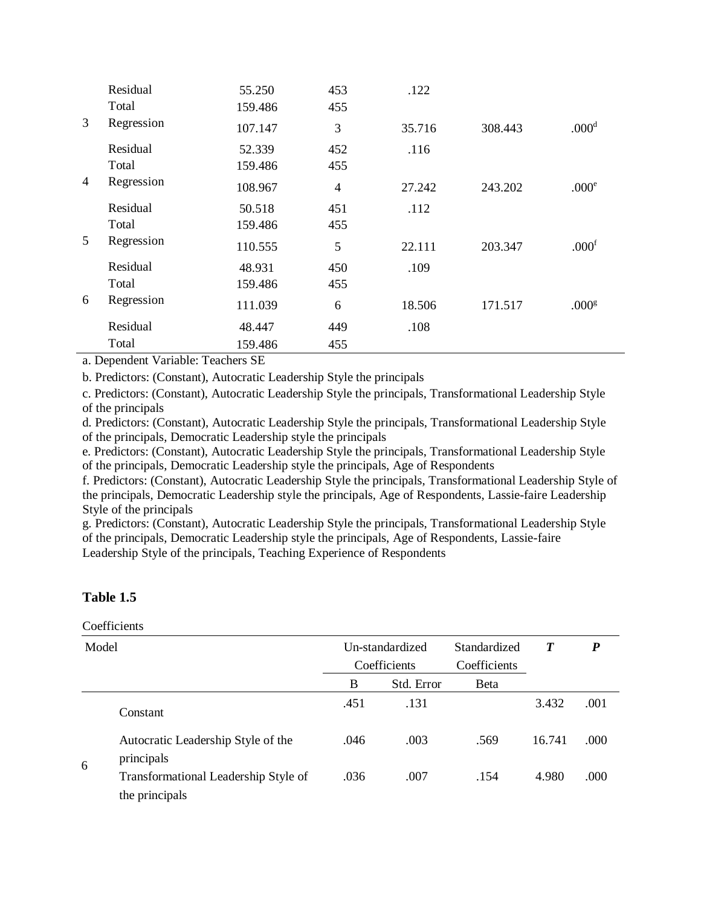|   | Residual<br>Total | 55.250<br>159.486 | 453<br>455     | .122   |         |                   |
|---|-------------------|-------------------|----------------|--------|---------|-------------------|
| 3 | Regression        | 107.147           | 3              | 35.716 | 308.443 | .000 <sup>d</sup> |
|   | Residual<br>Total | 52.339<br>159.486 | 452<br>455     | .116   |         |                   |
| 4 | Regression        | 108.967           | $\overline{4}$ | 27.242 | 243.202 | .000 <sup>e</sup> |
|   | Residual<br>Total | 50.518<br>159.486 | 451<br>455     | .112   |         |                   |
| 5 | Regression        | 110.555           | 5              | 22.111 | 203.347 | .000 <sup>f</sup> |
|   | Residual<br>Total | 48.931<br>159.486 | 450<br>455     | .109   |         |                   |
| 6 | Regression        | 111.039           | 6              | 18.506 | 171.517 | .000 <sup>g</sup> |
|   | Residual          | 48.447            | 449            | .108   |         |                   |
|   | Total             | 159.486           | 455            |        |         |                   |

a. Dependent Variable: Teachers SE

b. Predictors: (Constant), Autocratic Leadership Style the principals

c. Predictors: (Constant), Autocratic Leadership Style the principals, Transformational Leadership Style of the principals

d. Predictors: (Constant), Autocratic Leadership Style the principals, Transformational Leadership Style of the principals, Democratic Leadership style the principals

e. Predictors: (Constant), Autocratic Leadership Style the principals, Transformational Leadership Style of the principals, Democratic Leadership style the principals, Age of Respondents

f. Predictors: (Constant), Autocratic Leadership Style the principals, Transformational Leadership Style of the principals, Democratic Leadership style the principals, Age of Respondents, Lassie-faire Leadership Style of the principals

g. Predictors: (Constant), Autocratic Leadership Style the principals, Transformational Leadership Style of the principals, Democratic Leadership style the principals, Age of Respondents, Lassie-faire Leadership Style of the principals, Teaching Experience of Respondents

# **Table 1.5**

#### Coefficients

| Model |                                                        |      | Un-standardized | Standardized |        | P    |
|-------|--------------------------------------------------------|------|-----------------|--------------|--------|------|
|       |                                                        |      | Coefficients    | Coefficients |        |      |
|       |                                                        | B    | Std. Error      | <b>B</b> eta |        |      |
|       | Constant                                               | .451 | .131            |              | 3.432  | .001 |
| 6     | Autocratic Leadership Style of the<br>principals       | .046 | .003            | .569         | 16.741 | .000 |
|       | Transformational Leadership Style of<br>the principals | .036 | .007            | .154         | 4.980  | .000 |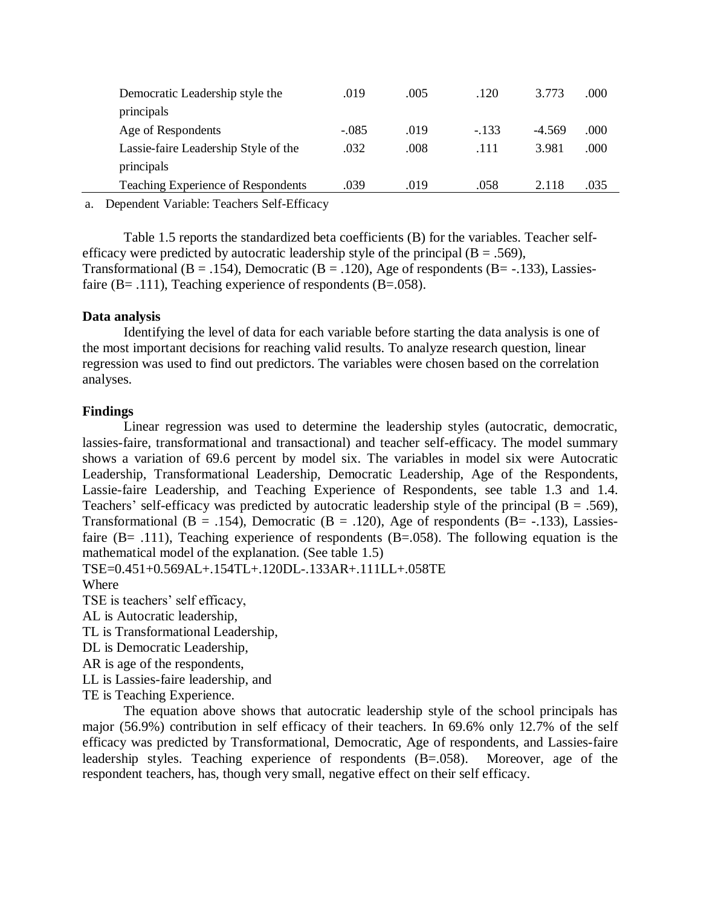| Democratic Leadership style the<br>principals | .019    | .005 | .120   | 3.773    | .000 |
|-----------------------------------------------|---------|------|--------|----------|------|
| Age of Respondents                            | $-.085$ | .019 | $-133$ | $-4.569$ | .000 |
| Lassie-faire Leadership Style of the          | .032    | .008 | .111   | 3.981    | .000 |
| principals                                    |         |      |        |          |      |
| <b>Teaching Experience of Respondents</b>     | .039    | .019 | .058   | 2.118    | .035 |

a. Dependent Variable: Teachers Self-Efficacy

Table 1.5 reports the standardized beta coefficients (B) for the variables. Teacher selfefficacy were predicted by autocratic leadership style of the principal ( $B = .569$ ), Transformational (B = .154), Democratic (B = .120), Age of respondents (B = -.133), Lassiesfaire ( $B = .111$ ), Teaching experience of respondents ( $B = .058$ ).

# **Data analysis**

Identifying the level of data for each variable before starting the data analysis is one of the most important decisions for reaching valid results. To analyze research question, linear regression was used to find out predictors. The variables were chosen based on the correlation analyses.

# **Findings**

Linear regression was used to determine the leadership styles (autocratic, democratic, lassies-faire, transformational and transactional) and teacher self-efficacy. The model summary shows a variation of 69.6 percent by model six. The variables in model six were Autocratic Leadership, Transformational Leadership, Democratic Leadership, Age of the Respondents, Lassie-faire Leadership, and Teaching Experience of Respondents, see table 1.3 and 1.4. Teachers' self-efficacy was predicted by autocratic leadership style of the principal  $(B = .569)$ , Transformational (B = .154), Democratic (B = .120), Age of respondents (B = -.133), Lassiesfaire (B= .111), Teaching experience of respondents (B=.058). The following equation is the mathematical model of the explanation. (See table 1.5)

TSE=0.451+0.569AL+.154TL+.120DL-.133AR+.111LL+.058TE

# Where

TSE is teachers' self efficacy,

AL is Autocratic leadership,

TL is Transformational Leadership,

DL is Democratic Leadership,

AR is age of the respondents,

LL is Lassies-faire leadership, and

TE is Teaching Experience.

The equation above shows that autocratic leadership style of the school principals has major (56.9%) contribution in self efficacy of their teachers. In 69.6% only 12.7% of the self efficacy was predicted by Transformational, Democratic, Age of respondents, and Lassies-faire leadership styles. Teaching experience of respondents (B=.058). Moreover, age of the respondent teachers, has, though very small, negative effect on their self efficacy.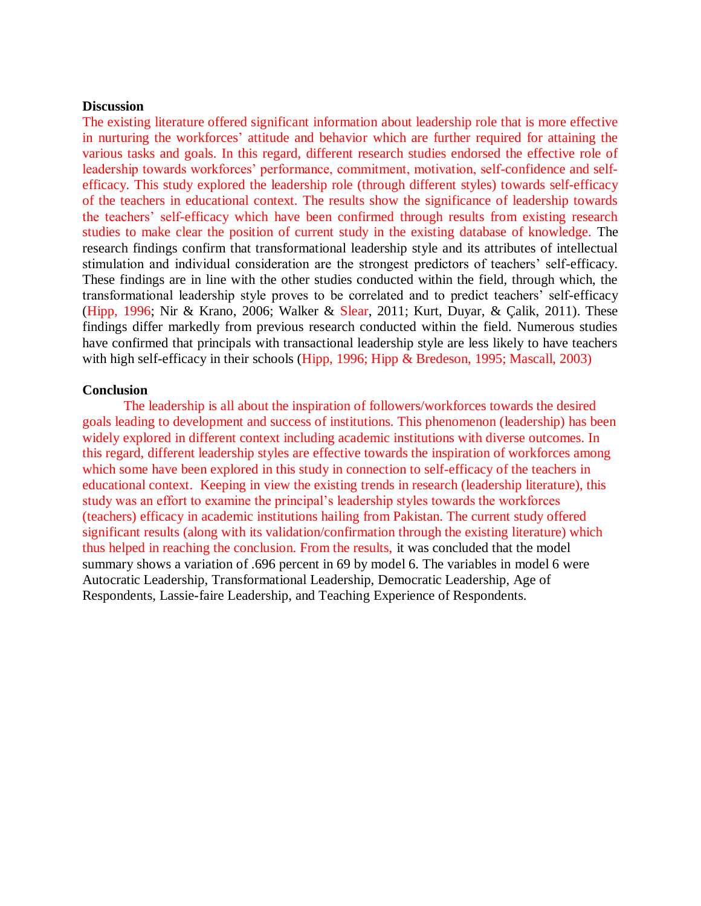#### **Discussion**

The existing literature offered significant information about leadership role that is more effective in nurturing the workforces' attitude and behavior which are further required for attaining the various tasks and goals. In this regard, different research studies endorsed the effective role of leadership towards workforces' performance, commitment, motivation, self-confidence and selfefficacy. This study explored the leadership role (through different styles) towards self-efficacy of the teachers in educational context. The results show the significance of leadership towards the teachers' self-efficacy which have been confirmed through results from existing research studies to make clear the position of current study in the existing database of knowledge. The research findings confirm that transformational leadership style and its attributes of intellectual stimulation and individual consideration are the strongest predictors of teachers' self-efficacy. These findings are in line with the other studies conducted within the field, through which, the transformational leadership style proves to be correlated and to predict teachers' self-efficacy (Hipp, 1996; Nir & Krano, 2006; Walker & Slear, 2011; Kurt, Duyar, & Çalik, 2011). These findings differ markedly from previous research conducted within the field. Numerous studies have confirmed that principals with transactional leadership style are less likely to have teachers with high self-efficacy in their schools (Hipp, 1996; Hipp & Bredeson, 1995; Mascall, 2003)

#### **Conclusion**

The leadership is all about the inspiration of followers/workforces towards the desired goals leading to development and success of institutions. This phenomenon (leadership) has been widely explored in different context including academic institutions with diverse outcomes. In this regard, different leadership styles are effective towards the inspiration of workforces among which some have been explored in this study in connection to self-efficacy of the teachers in educational context. Keeping in view the existing trends in research (leadership literature), this study was an effort to examine the principal's leadership styles towards the workforces (teachers) efficacy in academic institutions hailing from Pakistan. The current study offered significant results (along with its validation/confirmation through the existing literature) which thus helped in reaching the conclusion. From the results, it was concluded that the model summary shows a variation of .696 percent in 69 by model 6. The variables in model 6 were Autocratic Leadership, Transformational Leadership, Democratic Leadership, Age of Respondents, Lassie-faire Leadership, and Teaching Experience of Respondents.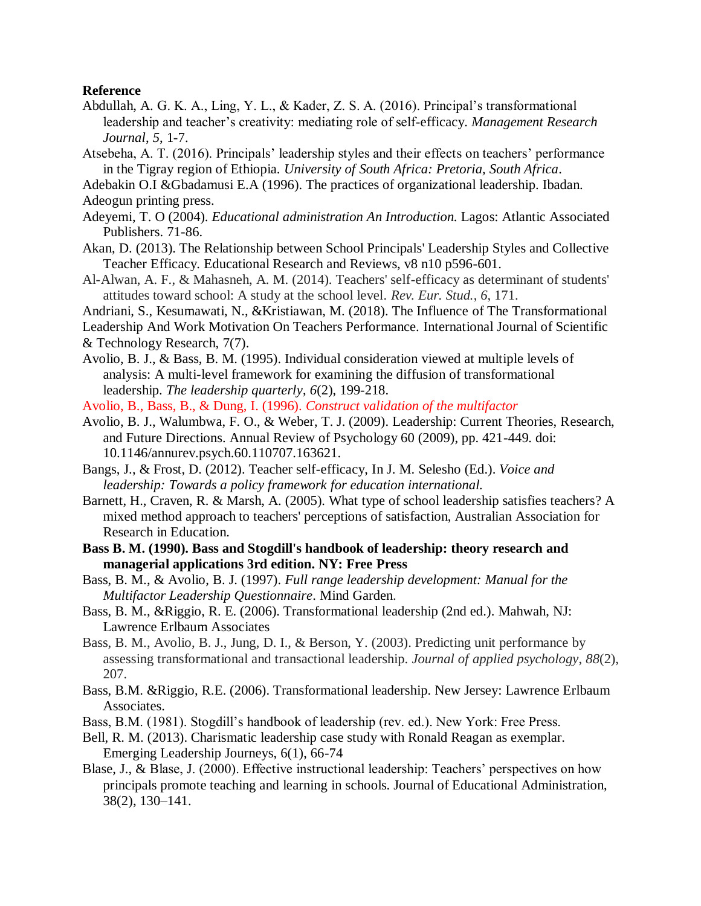### **Reference**

- Abdullah, A. G. K. A., Ling, Y. L., & Kader, Z. S. A. (2016). Principal's transformational leadership and teacher's creativity: mediating role of self-efficacy. *Management Research Journal*, *5*, 1-7.
- Atsebeha, A. T. (2016). Principals' leadership styles and their effects on teachers' performance in the Tigray region of Ethiopia. *University of South Africa: Pretoria, South Africa*.
- Adebakin O.I &Gbadamusi E.A (1996). The practices of organizational leadership. Ibadan. Adeogun printing press.
- Adeyemi, T. O (2004). *Educational administration An Introduction.* Lagos: Atlantic Associated Publishers. 71-86.
- Akan, D. (2013). The Relationship between School Principals' Leadership Styles and Collective Teacher Efficacy. Educational Research and Reviews, v8 n10 p596-601.
- Al-Alwan, A. F., & Mahasneh, A. M. (2014). Teachers' self-efficacy as determinant of students' attitudes toward school: A study at the school level. *Rev. Eur. Stud.*, *6*, 171.
- Andriani, S., Kesumawati, N., &Kristiawan, M. (2018). The Influence of The Transformational
- Leadership And Work Motivation On Teachers Performance. International Journal of Scientific

- Avolio, B. J., & Bass, B. M. (1995). Individual consideration viewed at multiple levels of analysis: A multi-level framework for examining the diffusion of transformational leadership. *The leadership quarterly*, *6*(2), 199-218.
- Avolio, B., Bass, B., & Dung, I. (1996). *Construct validation of the multifactor*
- Avolio, B. J., Walumbwa, F. O., & Weber, T. J. (2009). Leadership: Current Theories, Research, and Future Directions. Annual Review of Psychology 60 (2009), pp. 421-449. doi: 10.1146/annurev.psych.60.110707.163621.
- Bangs, J., & Frost, D. (2012). Teacher self-efficacy, In J. M. Selesho (Ed.). *Voice and leadership: Towards a policy framework for education international.*
- Barnett, H., Craven, R. & Marsh, A. (2005). What type of school leadership satisfies teachers? A mixed method approach to teachers' perceptions of satisfaction, Australian Association for Research in Education.
- **Bass B. M. (1990). Bass and Stogdill's handbook of leadership: theory research and managerial applications 3rd edition. NY: Free Press**
- Bass, B. M., & Avolio, B. J. (1997). *Full range leadership development: Manual for the Multifactor Leadership Questionnaire*. Mind Garden.
- Bass, B. M., &Riggio, R. E. (2006). Transformational leadership (2nd ed.). Mahwah, NJ: Lawrence Erlbaum Associates
- Bass, B. M., Avolio, B. J., Jung, D. I., & Berson, Y. (2003). Predicting unit performance by assessing transformational and transactional leadership. *Journal of applied psychology*, *88*(2), 207.
- Bass, B.M. &Riggio, R.E. (2006). Transformational leadership. New Jersey: Lawrence Erlbaum Associates.
- Bass, B.M. (1981). Stogdill's handbook of leadership (rev. ed.). New York: Free Press.
- Bell, R. M. (2013). Charismatic leadership case study with Ronald Reagan as exemplar. Emerging Leadership Journeys, 6(1), 66-74
- Blase, J., & Blase, J. (2000). Effective instructional leadership: Teachers' perspectives on how principals promote teaching and learning in schools. Journal of Educational Administration, 38(2), 130–141.

<sup>&</sup>amp; Technology Research, 7(7).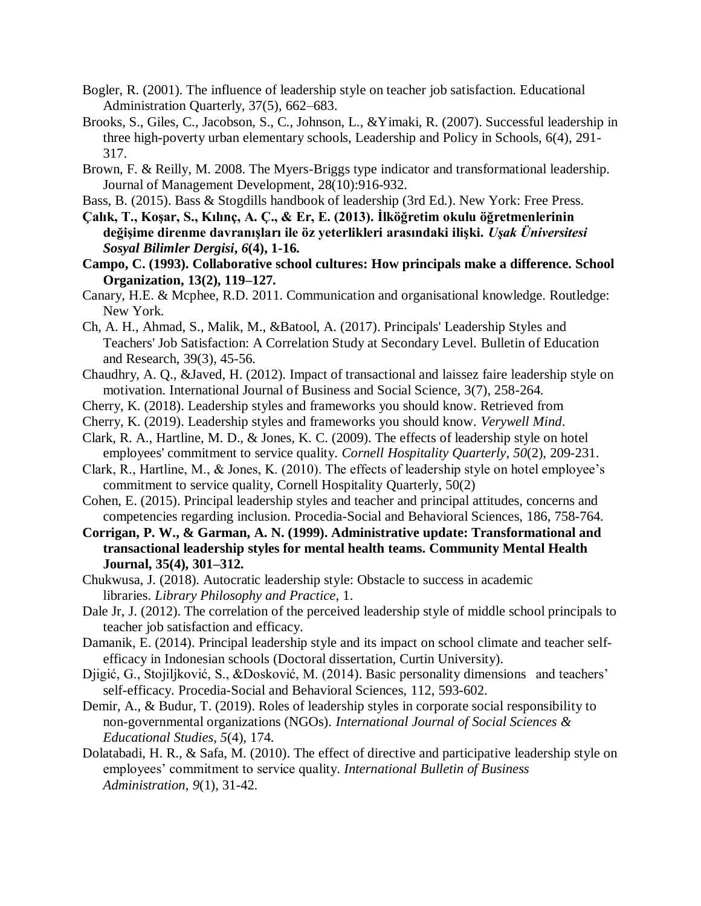- Bogler, R. (2001). The influence of leadership style on teacher job satisfaction. Educational Administration Quarterly, 37(5), 662–683.
- Brooks, S., Giles, C., Jacobson, S., C., Johnson, L., &Yimaki, R. (2007). Successful leadership in three high-poverty urban elementary schools, Leadership and Policy in Schools, 6(4), 291- 317.
- Brown, F. & Reilly, M. 2008. The Myers-Briggs type indicator and transformational leadership. Journal of Management Development, 28(10):916-932.
- Bass, B. (2015). Bass & Stogdills handbook of leadership (3rd Ed.). New York: Free Press.
- **Çalık, T., Koşar, S., Kılınç, A. Ç., & Er, E. (2013). İlköğretim okulu öğretmenlerinin değişime direnme davranışları ile öz yeterlikleri arasındaki ilişki.** *Uşak Üniversitesi Sosyal Bilimler Dergisi***,** *6***(4), 1-16.**
- **Campo, C. (1993). Collaborative school cultures: How principals make a difference. School Organization, 13(2), 119–127.**
- Canary, H.E. & Mcphee, R.D. 2011. Communication and organisational knowledge. Routledge: New York.
- Ch, A. H., Ahmad, S., Malik, M., &Batool, A. (2017). Principals' Leadership Styles and Teachers' Job Satisfaction: A Correlation Study at Secondary Level. Bulletin of Education and Research, 39(3), 45-56.
- Chaudhry, A. Q., &Javed, H. (2012). Impact of transactional and laissez faire leadership style on motivation. International Journal of Business and Social Science, 3(7), 258-264.
- Cherry, K. (2018). Leadership styles and frameworks you should know. Retrieved from
- Cherry, K. (2019). Leadership styles and frameworks you should know. *Verywell Mind*.
- Clark, R. A., Hartline, M. D., & Jones, K. C. (2009). The effects of leadership style on hotel employees' commitment to service quality. *Cornell Hospitality Quarterly*, *50*(2), 209-231.
- Clark, R., Hartline, M., & Jones, K. (2010). The effects of leadership style on hotel employee's commitment to service quality, Cornell Hospitality Quarterly, 50(2)
- Cohen, E. (2015). Principal leadership styles and teacher and principal attitudes, concerns and competencies regarding inclusion. Procedia-Social and Behavioral Sciences, 186, 758-764.
- **Corrigan, P. W., & Garman, A. N. (1999). Administrative update: Transformational and transactional leadership styles for mental health teams. Community Mental Health Journal, 35(4), 301–312.**
- Chukwusa, J. (2018). Autocratic leadership style: Obstacle to success in academic libraries. *Library Philosophy and Practice*, 1.
- Dale Jr, J. (2012). The correlation of the perceived leadership style of middle school principals to teacher job satisfaction and efficacy.
- Damanik, E. (2014). Principal leadership style and its impact on school climate and teacher selfefficacy in Indonesian schools (Doctoral dissertation, Curtin University).
- Djigić, G., Stojiljković, S., &Dosković, M. (2014). Basic personality dimensions and teachers' self-efficacy. Procedia-Social and Behavioral Sciences, 112, 593-602.
- Demir, A., & Budur, T. (2019). Roles of leadership styles in corporate social responsibility to non-governmental organizations (NGOs). *International Journal of Social Sciences & Educational Studies*, *5*(4), 174.
- Dolatabadi, H. R., & Safa, M. (2010). The effect of directive and participative leadership style on employees' commitment to service quality. *International Bulletin of Business Administration*, *9*(1), 31-42.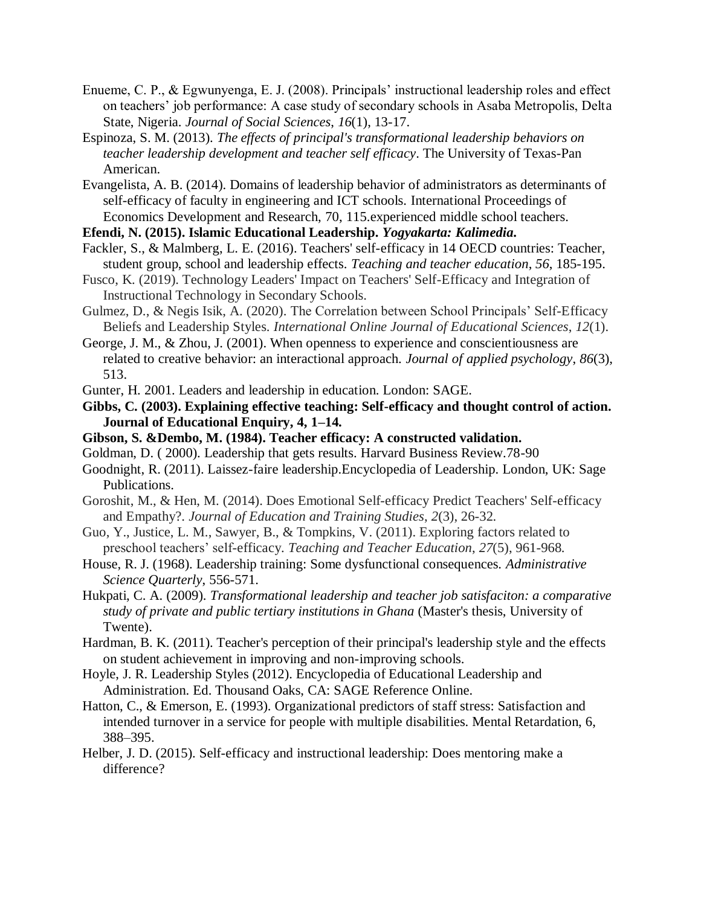- Enueme, C. P., & Egwunyenga, E. J. (2008). Principals' instructional leadership roles and effect on teachers' job performance: A case study of secondary schools in Asaba Metropolis, Delta State, Nigeria. *Journal of Social Sciences*, *16*(1), 13-17.
- Espinoza, S. M. (2013). *The effects of principal's transformational leadership behaviors on teacher leadership development and teacher self efficacy*. The University of Texas-Pan American.
- Evangelista, A. B. (2014). Domains of leadership behavior of administrators as determinants of self-efficacy of faculty in engineering and ICT schools. International Proceedings of Economics Development and Research, 70, 115.experienced middle school teachers.

**Efendi, N. (2015). Islamic Educational Leadership.** *Yogyakarta: Kalimedia***.**

- Fackler, S., & Malmberg, L. E. (2016). Teachers' self-efficacy in 14 OECD countries: Teacher, student group, school and leadership effects. *Teaching and teacher education*, *56*, 185-195.
- Fusco, K. (2019). Technology Leaders' Impact on Teachers' Self-Efficacy and Integration of Instructional Technology in Secondary Schools.
- Gulmez, D., & Negis Isik, A. (2020). The Correlation between School Principals' Self-Efficacy Beliefs and Leadership Styles. *International Online Journal of Educational Sciences*, *12*(1).
- George, J. M., & Zhou, J. (2001). When openness to experience and conscientiousness are related to creative behavior: an interactional approach. *Journal of applied psychology*, *86*(3), 513.
- Gunter, H. 2001. Leaders and leadership in education. London: SAGE.
- **Gibbs, C. (2003). Explaining effective teaching: Self-efficacy and thought control of action. Journal of Educational Enquiry, 4, 1–14.**
- **Gibson, S. &Dembo, M. (1984). Teacher efficacy: A constructed validation.**
- Goldman, D. ( 2000). Leadership that gets results. Harvard Business Review.78-90
- Goodnight, R. (2011). Laissez-faire leadership.Encyclopedia of Leadership. London, UK: Sage Publications.
- Goroshit, M., & Hen, M. (2014). Does Emotional Self-efficacy Predict Teachers' Self-efficacy and Empathy?. *Journal of Education and Training Studies*, *2*(3), 26-32.
- Guo, Y., Justice, L. M., Sawyer, B., & Tompkins, V. (2011). Exploring factors related to preschool teachers' self-efficacy. *Teaching and Teacher Education*, *27*(5), 961-968.
- House, R. J. (1968). Leadership training: Some dysfunctional consequences. *Administrative Science Quarterly*, 556-571.
- Hukpati, C. A. (2009). *Transformational leadership and teacher job satisfaciton: a comparative study of private and public tertiary institutions in Ghana* (Master's thesis, University of Twente).
- Hardman, B. K. (2011). Teacher's perception of their principal's leadership style and the effects on student achievement in improving and non-improving schools.
- Hoyle, J. R. Leadership Styles (2012). Encyclopedia of Educational Leadership and Administration. Ed. Thousand Oaks, CA: SAGE Reference Online.
- Hatton, C., & Emerson, E. (1993). Organizational predictors of staff stress: Satisfaction and intended turnover in a service for people with multiple disabilities. Mental Retardation, 6, 388–395.
- Helber, J. D. (2015). Self-efficacy and instructional leadership: Does mentoring make a difference?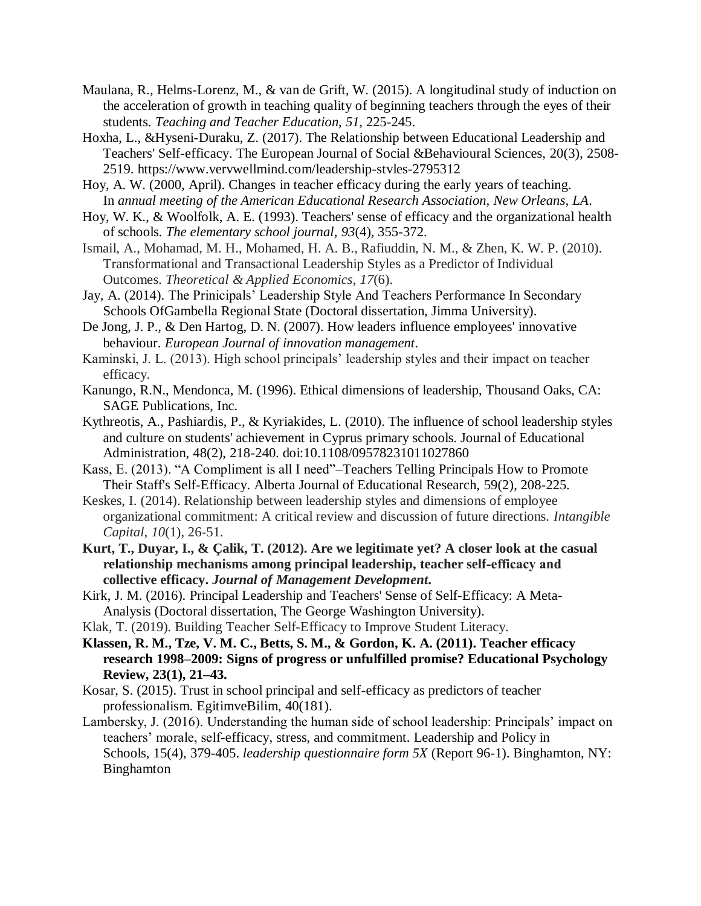- Maulana, R., Helms-Lorenz, M., & van de Grift, W. (2015). A longitudinal study of induction on the acceleration of growth in teaching quality of beginning teachers through the eyes of their students. *Teaching and Teacher Education*, *51*, 225-245.
- Hoxha, L., &Hyseni-Duraku, Z. (2017). The Relationship between Educational Leadership and Teachers' Self-efficacy. The European Journal of Social &Behavioural Sciences, 20(3), 2508- 2519.<https://www.vervwellmind.com/leadership-stvles-2795312>
- Hoy, A. W. (2000, April). Changes in teacher efficacy during the early years of teaching. In *annual meeting of the American Educational Research Association, New Orleans, LA*.
- Hoy, W. K., & Woolfolk, A. E. (1993). Teachers' sense of efficacy and the organizational health of schools. *The elementary school journal*, *93*(4), 355-372.
- Ismail, A., Mohamad, M. H., Mohamed, H. A. B., Rafiuddin, N. M., & Zhen, K. W. P. (2010). Transformational and Transactional Leadership Styles as a Predictor of Individual Outcomes. *Theoretical & Applied Economics*, *17*(6).
- Jay, A. (2014). The Prinicipals' Leadership Style And Teachers Performance In Secondary Schools OfGambella Regional State (Doctoral dissertation, Jimma University).
- De Jong, J. P., & Den Hartog, D. N. (2007). How leaders influence employees' innovative behaviour. *European Journal of innovation management*.
- Kaminski, J. L. (2013). High school principals' leadership styles and their impact on teacher efficacy.
- Kanungo, R.N., Mendonca, M. (1996). Ethical dimensions of leadership, Thousand Oaks, CA: SAGE Publications, Inc.
- Kythreotis, A., Pashiardis, P., & Kyriakides, L. (2010). The influence of school leadership styles and culture on students' achievement in Cyprus primary schools. Journal of Educational Administration, 48(2), 218-240. doi:10.1108/09578231011027860
- Kass, E. (2013). "A Compliment is all I need"–Teachers Telling Principals How to Promote Their Staff's Self-Efficacy. Alberta Journal of Educational Research, 59(2), 208-225.
- Keskes, I. (2014). Relationship between leadership styles and dimensions of employee organizational commitment: A critical review and discussion of future directions. *Intangible Capital*, *10*(1), 26-51.
- **Kurt, T., Duyar, I., & Çalik, T. (2012). Are we legitimate yet? A closer look at the casual relationship mechanisms among principal leadership, teacher self‐efficacy and collective efficacy.** *Journal of Management Development***.**
- Kirk, J. M. (2016). Principal Leadership and Teachers' Sense of Self-Efficacy: A Meta-Analysis (Doctoral dissertation, The George Washington University).
- Klak, T. (2019). Building Teacher Self-Efficacy to Improve Student Literacy.
- **Klassen, R. M., Tze, V. M. C., Betts, S. M., & Gordon, K. A. (2011). Teacher efficacy research 1998–2009: Signs of progress or unfulfilled promise? Educational Psychology Review, 23(1), 21–43.**
- Kosar, S. (2015). Trust in school principal and self-efficacy as predictors of teacher professionalism. EgitimveBilim, 40(181).
- Lambersky, J. (2016). Understanding the human side of school leadership: Principals' impact on teachers' morale, self-efficacy, stress, and commitment. Leadership and Policy in Schools, 15(4), 379-405. *leadership questionnaire form 5X* (Report 96-1). Binghamton, NY: Binghamton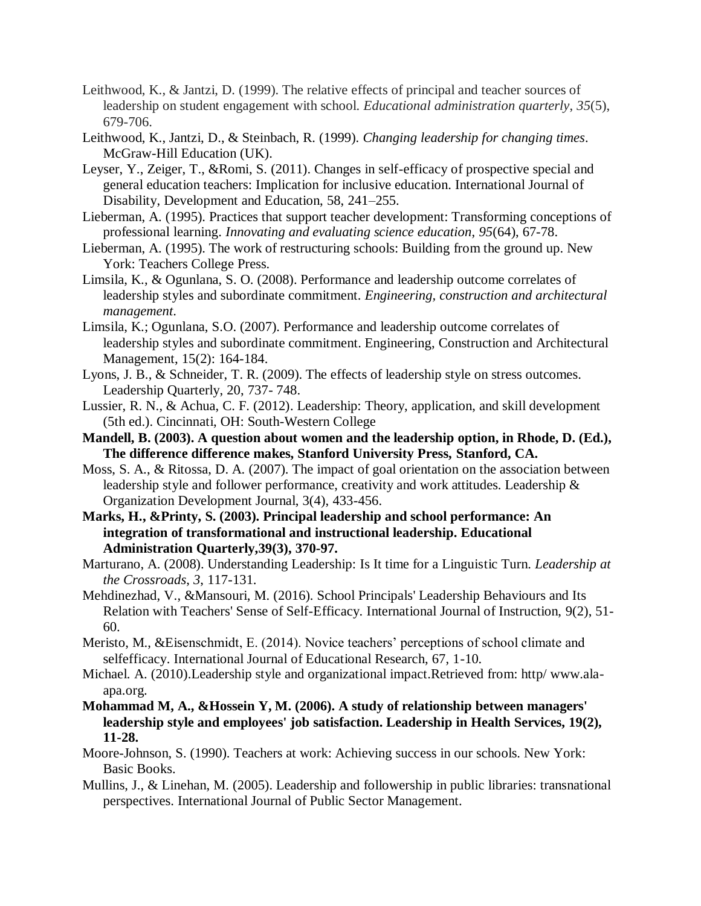- Leithwood, K., & Jantzi, D. (1999). The relative effects of principal and teacher sources of leadership on student engagement with school. *Educational administration quarterly*, *35*(5), 679-706.
- Leithwood, K., Jantzi, D., & Steinbach, R. (1999). *Changing leadership for changing times*. McGraw-Hill Education (UK).
- Leyser, Y., Zeiger, T., &Romi, S. (2011). Changes in self-efficacy of prospective special and general education teachers: Implication for inclusive education. International Journal of Disability, Development and Education, 58, 241–255.
- Lieberman, A. (1995). Practices that support teacher development: Transforming conceptions of professional learning. *Innovating and evaluating science education*, *95*(64), 67-78.
- Lieberman, A. (1995). The work of restructuring schools: Building from the ground up. New York: Teachers College Press.
- Limsila, K., & Ogunlana, S. O. (2008). Performance and leadership outcome correlates of leadership styles and subordinate commitment. *Engineering, construction and architectural management*.
- Limsila, K.; Ogunlana, S.O. (2007). Performance and leadership outcome correlates of leadership styles and subordinate commitment. Engineering, Construction and Architectural Management, 15(2): 164-184.
- Lyons, J. B., & Schneider, T. R. (2009). The effects of leadership style on stress outcomes. Leadership Quarterly, 20, 737- 748.
- Lussier, R. N., & Achua, C. F. (2012). Leadership: Theory, application, and skill development (5th ed.). Cincinnati, OH: South-Western College
- **Mandell, B. (2003). A question about women and the leadership option, in Rhode, D. (Ed.), The difference difference makes, Stanford University Press, Stanford, CA.**
- Moss, S. A., & Ritossa, D. A. (2007). The impact of goal orientation on the association between leadership style and follower performance, creativity and work attitudes. Leadership & Organization Development Journal, 3(4), 433-456.
- **Marks, H., &Printy, S. (2003). Principal leadership and school performance: An integration of transformational and instructional leadership. Educational Administration Quarterly,39(3), 370-97.**
- Marturano, A. (2008). Understanding Leadership: Is It time for a Linguistic Turn. *Leadership at the Crossroads*, *3*, 117-131.
- Mehdinezhad, V., &Mansouri, M. (2016). School Principals' Leadership Behaviours and Its Relation with Teachers' Sense of Self-Efficacy. International Journal of Instruction, 9(2), 51- 60.
- Meristo, M., &Eisenschmidt, E. (2014). Novice teachers' perceptions of school climate and selfefficacy. International Journal of Educational Research, 67, 1-10.
- Michael. A. (2010).Leadership style and organizational impact.Retrieved from: http/ www.alaapa.org.
- **Mohammad M, A., &Hossein Y, M. (2006). A study of relationship between managers' leadership style and employees' job satisfaction. Leadership in Health Services, 19(2), 11-28.**
- Moore-Johnson, S. (1990). Teachers at work: Achieving success in our schools. New York: Basic Books.
- Mullins, J., & Linehan, M. (2005). Leadership and followership in public libraries: transnational perspectives. International Journal of Public Sector Management.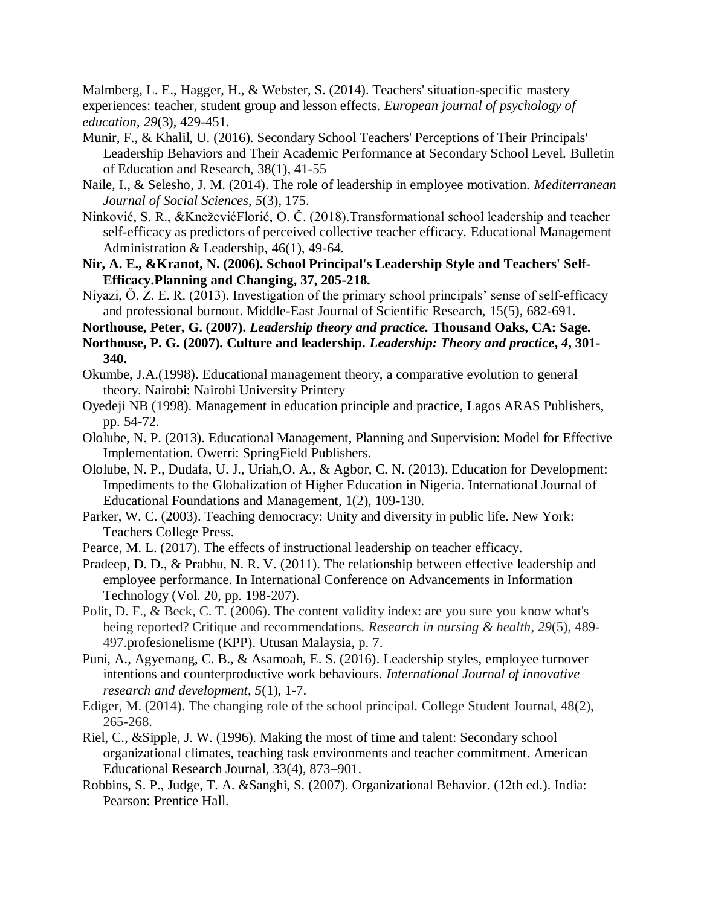Malmberg, L. E., Hagger, H., & Webster, S. (2014). Teachers' situation-specific mastery experiences: teacher, student group and lesson effects. *European journal of psychology of education*, *29*(3), 429-451.

- Munir, F., & Khalil, U. (2016). Secondary School Teachers' Perceptions of Their Principals' Leadership Behaviors and Their Academic Performance at Secondary School Level. Bulletin of Education and Research, 38(1), 41-55
- Naile, I., & Selesho, J. M. (2014). The role of leadership in employee motivation. *Mediterranean Journal of Social Sciences*, *5*(3), 175.
- Ninković, S. R., &KneževićFlorić, O. Č. (2018).Transformational school leadership and teacher self-efficacy as predictors of perceived collective teacher efficacy. Educational Management Administration & Leadership, 46(1), 49-64.
- **Nir, A. E., &Kranot, N. (2006). School Principal's Leadership Style and Teachers' Self-Efficacy.Planning and Changing, 37, 205-218.**
- Niyazi, Ö. Z. E. R. (2013). Investigation of the primary school principals' sense of self-efficacy and professional burnout. Middle-East Journal of Scientific Research, 15(5), 682-691.

**Northouse, Peter, G. (2007).** *Leadership theory and practice.* **Thousand Oaks, CA: Sage.**

- **Northouse, P. G. (2007). Culture and leadership.** *Leadership: Theory and practice***,** *4***, 301- 340.**
- Okumbe, J.A.(1998). Educational management theory, a comparative evolution to general theory. Nairobi: Nairobi University Printery
- Oyedeji NB (1998). Management in education principle and practice, Lagos ARAS Publishers, pp. 54-72.
- Ololube, N. P. (2013). Educational Management, Planning and Supervision: Model for Effective Implementation. Owerri: SpringField Publishers.
- Ololube, N. P., Dudafa, U. J., Uriah,O. A., & Agbor, C. N. (2013). Education for Development: Impediments to the Globalization of Higher Education in Nigeria. International Journal of Educational Foundations and Management, 1(2), 109-130.
- Parker, W. C. (2003). Teaching democracy: Unity and diversity in public life. New York: Teachers College Press.
- Pearce, M. L. (2017). The effects of instructional leadership on teacher efficacy.
- Pradeep, D. D., & Prabhu, N. R. V. (2011). The relationship between effective leadership and employee performance. In International Conference on Advancements in Information Technology (Vol. 20, pp. 198-207).
- Polit, D. F., & Beck, C. T. (2006). The content validity index: are you sure you know what's being reported? Critique and recommendations. *Research in nursing & health*, *29*(5), 489- 497.profesionelisme (KPP). Utusan Malaysia, p. 7.
- Puni, A., Agyemang, C. B., & Asamoah, E. S. (2016). Leadership styles, employee turnover intentions and counterproductive work behaviours. *International Journal of innovative research and development*, *5*(1), 1-7.
- Ediger, M. (2014). The changing role of the school principal. College Student Journal, 48(2), 265-268.
- Riel, C., &Sipple, J. W. (1996). Making the most of time and talent: Secondary school organizational climates, teaching task environments and teacher commitment. American Educational Research Journal, 33(4), 873–901.
- Robbins, S. P., Judge, T. A. &Sanghi, S. (2007). Organizational Behavior. (12th ed.). India: Pearson: Prentice Hall.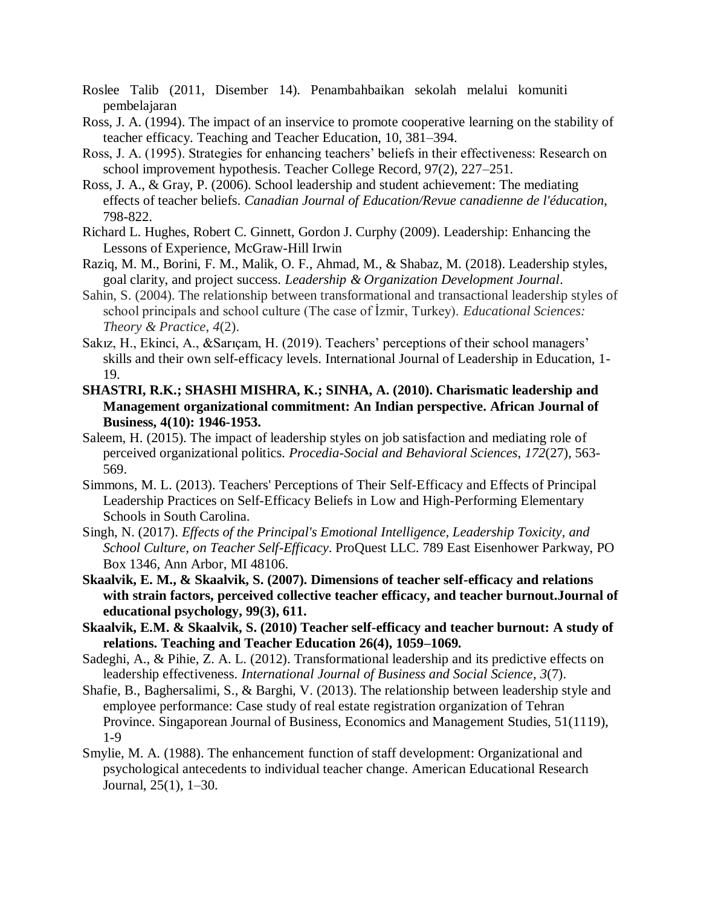- Roslee Talib (2011, Disember 14). Penambahbaikan sekolah melalui komuniti pembelajaran
- Ross, J. A. (1994). The impact of an inservice to promote cooperative learning on the stability of teacher efficacy. Teaching and Teacher Education, 10, 381–394.
- Ross, J. A. (1995). Strategies for enhancing teachers' beliefs in their effectiveness: Research on school improvement hypothesis. Teacher College Record, 97(2), 227–251.
- Ross, J. A., & Gray, P. (2006). School leadership and student achievement: The mediating effects of teacher beliefs. *Canadian Journal of Education/Revue canadienne de l'éducation*, 798-822.
- Richard L. Hughes, Robert C. Ginnett, Gordon J. Curphy (2009). Leadership: Enhancing the Lessons of Experience, McGraw-Hill Irwin
- Raziq, M. M., Borini, F. M., Malik, O. F., Ahmad, M., & Shabaz, M. (2018). Leadership styles, goal clarity, and project success. *Leadership & Organization Development Journal*.
- Sahin, S. (2004). The relationship between transformational and transactional leadership styles of school principals and school culture (The case of İzmir, Turkey). *Educational Sciences: Theory & Practice*, *4*(2).
- Sakız, H., Ekinci, A., &Sarıçam, H. (2019). Teachers' perceptions of their school managers' skills and their own self-efficacy levels. International Journal of Leadership in Education, 1- 19.
- **SHASTRI, R.K.; SHASHI MISHRA, K.; SINHA, A. (2010). Charismatic leadership and Management organizational commitment: An Indian perspective. African Journal of Business, 4(10): 1946-1953.**
- Saleem, H. (2015). The impact of leadership styles on job satisfaction and mediating role of perceived organizational politics. *Procedia-Social and Behavioral Sciences*, *172*(27), 563- 569.
- Simmons, M. L. (2013). Teachers' Perceptions of Their Self-Efficacy and Effects of Principal Leadership Practices on Self-Efficacy Beliefs in Low and High-Performing Elementary Schools in South Carolina.
- Singh, N. (2017). *Effects of the Principal's Emotional Intelligence, Leadership Toxicity, and School Culture, on Teacher Self-Efficacy*. ProQuest LLC. 789 East Eisenhower Parkway, PO Box 1346, Ann Arbor, MI 48106.
- **Skaalvik, E. M., & Skaalvik, S. (2007). Dimensions of teacher self-efficacy and relations with strain factors, perceived collective teacher efficacy, and teacher burnout.Journal of educational psychology, 99(3), 611.**
- **Skaalvik, E.M. & Skaalvik, S. (2010) Teacher self-efficacy and teacher burnout: A study of relations. Teaching and Teacher Education 26(4), 1059–1069.**
- Sadeghi, A., & Pihie, Z. A. L. (2012). Transformational leadership and its predictive effects on leadership effectiveness. *International Journal of Business and Social Science*, *3*(7).
- Shafie, B., Baghersalimi, S., & Barghi, V. (2013). The relationship between leadership style and employee performance: Case study of real estate registration organization of Tehran Province. Singaporean Journal of Business, Economics and Management Studies, 51(1119), 1-9
- Smylie, M. A. (1988). The enhancement function of staff development: Organizational and psychological antecedents to individual teacher change. American Educational Research Journal, 25(1), 1–30.